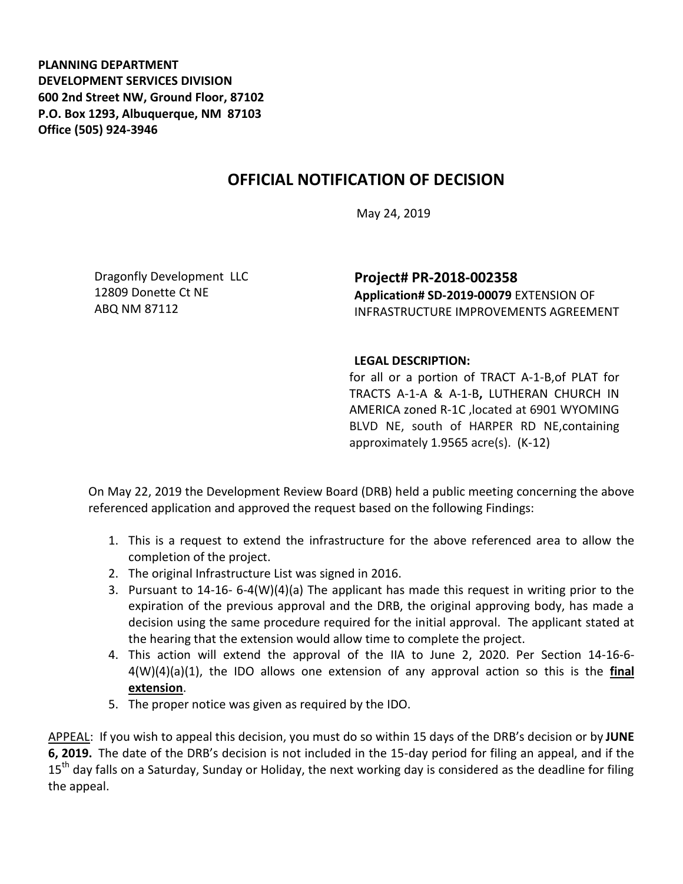**PLANNING DEPARTMENT DEVELOPMENT SERVICES DIVISION 600 2nd Street NW, Ground Floor, 87102 P.O. Box 1293, Albuquerque, NM 87103 Office (505) 924-3946** 

## **OFFICIAL NOTIFICATION OF DECISION**

May 24, 2019

Dragonfly Development LLC 12809 Donette Ct NE ABQ NM 87112

**Project# PR-2018-002358 Application# SD-2019-00079** EXTENSION OF INFRASTRUCTURE IMPROVEMENTS AGREEMENT

## **LEGAL DESCRIPTION:**

for all or a portion of TRACT A-1-B,of PLAT for TRACTS A-1-A & A-1-B**,** LUTHERAN CHURCH IN AMERICA zoned R-1C ,located at 6901 WYOMING BLVD NE, south of HARPER RD NE,containing approximately 1.9565 acre(s). (K-12)

On May 22, 2019 the Development Review Board (DRB) held a public meeting concerning the above referenced application and approved the request based on the following Findings:

- 1. This is a request to extend the infrastructure for the above referenced area to allow the completion of the project.
- 2. The original Infrastructure List was signed in 2016.
- 3. Pursuant to 14-16- 6-4(W)(4)(a) The applicant has made this request in writing prior to the expiration of the previous approval and the DRB, the original approving body, has made a decision using the same procedure required for the initial approval. The applicant stated at the hearing that the extension would allow time to complete the project.
- 4. This action will extend the approval of the IIA to June 2, 2020. Per Section 14-16-6- 4(W)(4)(a)(1), the IDO allows one extension of any approval action so this is the **final extension**.
- 5. The proper notice was given as required by the IDO.

APPEAL: If you wish to appeal this decision, you must do so within 15 days of the DRB's decision or by **JUNE 6, 2019.** The date of the DRB's decision is not included in the 15-day period for filing an appeal, and if the 15<sup>th</sup> day falls on a Saturday, Sunday or Holiday, the next working day is considered as the deadline for filing the appeal.